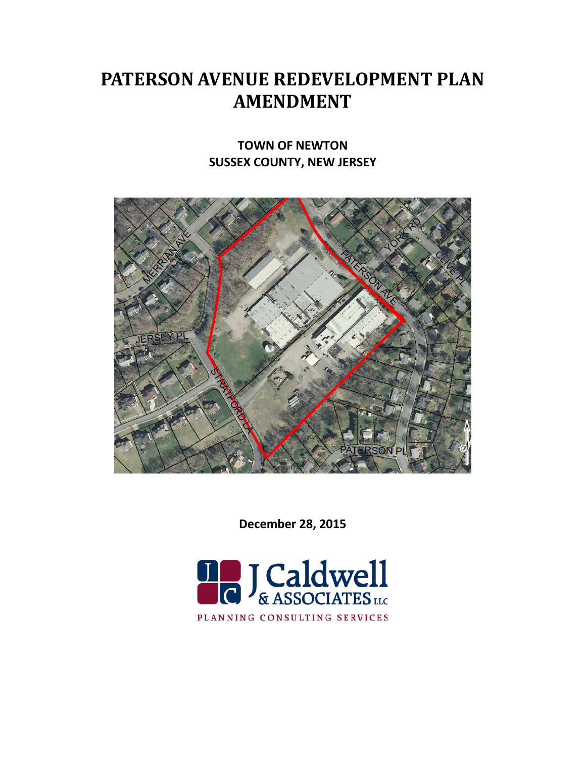# **PATERSON AVENUE REDEVELOPMENT PLAN AMENDMENT**

# **TOWN OF NEWTON SUSSEX COUNTY, NEW JERSEY**



**December 28, 2015**

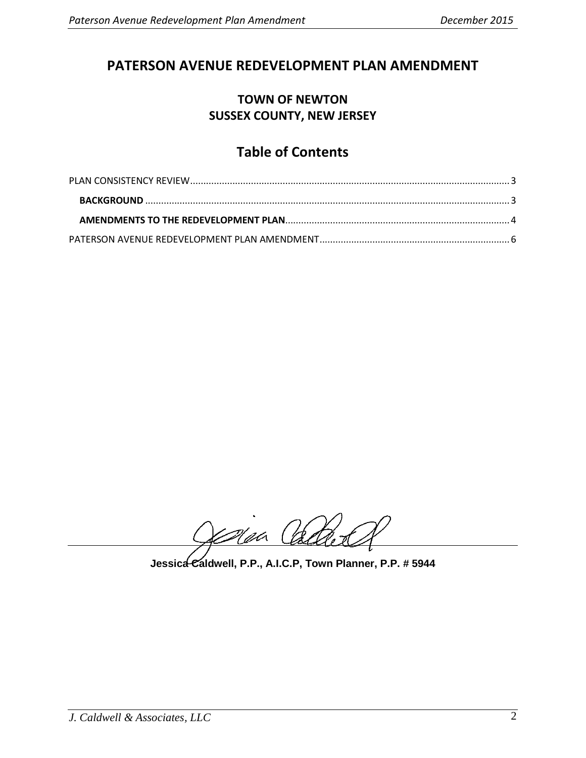# **PATERSON AVENUE REDEVELOPMENT PLAN AMENDMENT**

# **TOWN OF NEWTON SUSSEX COUNTY, NEW JERSEY**

# **Table of Contents**

Man Ca

**Jessica Caldwell, P.P., A.I.C.P, Town Planner, P.P. # 5944**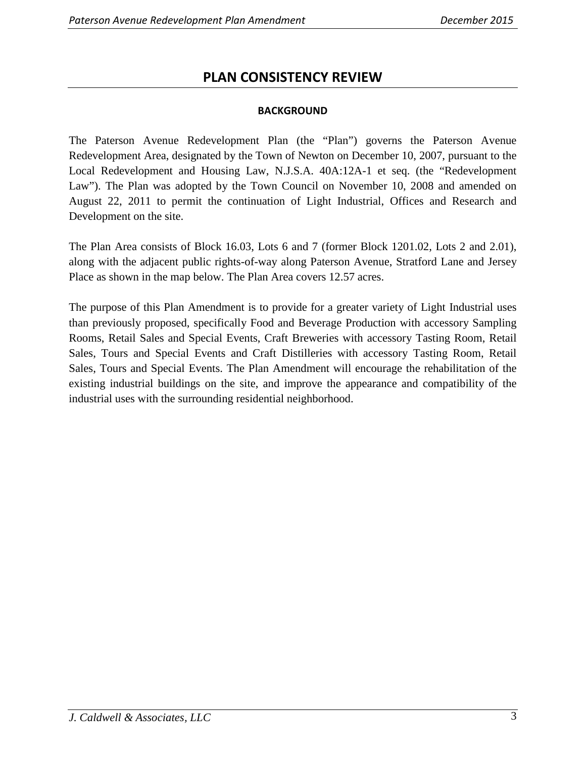# **PLAN CONSISTENCY REVIEW**

#### **BACKGROUND**

<span id="page-2-1"></span><span id="page-2-0"></span>The Paterson Avenue Redevelopment Plan (the "Plan") governs the Paterson Avenue Redevelopment Area, designated by the Town of Newton on December 10, 2007, pursuant to the Local Redevelopment and Housing Law, N.J.S.A. 40A:12A-1 et seq. (the "Redevelopment Law"). The Plan was adopted by the Town Council on November 10, 2008 and amended on August 22, 2011 to permit the continuation of Light Industrial, Offices and Research and Development on the site.

The Plan Area consists of Block 16.03, Lots 6 and 7 (former Block 1201.02, Lots 2 and 2.01), along with the adjacent public rights-of-way along Paterson Avenue, Stratford Lane and Jersey Place as shown in the map below. The Plan Area covers 12.57 acres.

The purpose of this Plan Amendment is to provide for a greater variety of Light Industrial uses than previously proposed, specifically Food and Beverage Production with accessory Sampling Rooms, Retail Sales and Special Events, Craft Breweries with accessory Tasting Room, Retail Sales, Tours and Special Events and Craft Distilleries with accessory Tasting Room, Retail Sales, Tours and Special Events. The Plan Amendment will encourage the rehabilitation of the existing industrial buildings on the site, and improve the appearance and compatibility of the industrial uses with the surrounding residential neighborhood.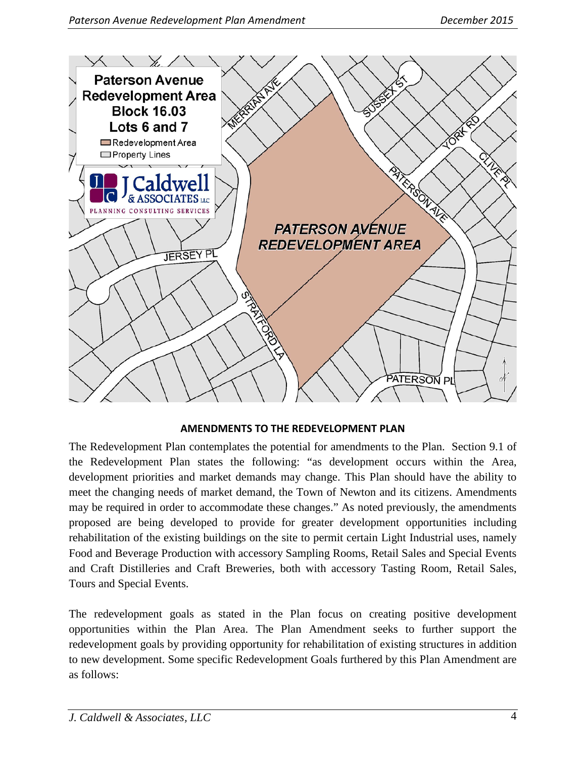

#### **AMENDMENTS TO THE REDEVELOPMENT PLAN**

<span id="page-3-0"></span>The Redevelopment Plan contemplates the potential for amendments to the Plan. Section 9.1 of the Redevelopment Plan states the following: "as development occurs within the Area, development priorities and market demands may change. This Plan should have the ability to meet the changing needs of market demand, the Town of Newton and its citizens. Amendments may be required in order to accommodate these changes." As noted previously, the amendments proposed are being developed to provide for greater development opportunities including rehabilitation of the existing buildings on the site to permit certain Light Industrial uses, namely Food and Beverage Production with accessory Sampling Rooms, Retail Sales and Special Events and Craft Distilleries and Craft Breweries, both with accessory Tasting Room, Retail Sales, Tours and Special Events.

The redevelopment goals as stated in the Plan focus on creating positive development opportunities within the Plan Area. The Plan Amendment seeks to further support the redevelopment goals by providing opportunity for rehabilitation of existing structures in addition to new development. Some specific Redevelopment Goals furthered by this Plan Amendment are as follows: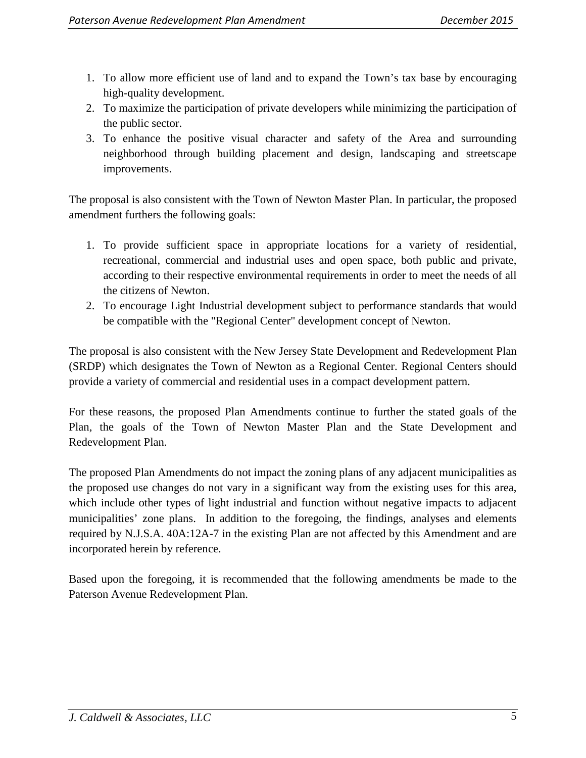- 1. To allow more efficient use of land and to expand the Town's tax base by encouraging high-quality development.
- 2. To maximize the participation of private developers while minimizing the participation of the public sector.
- 3. To enhance the positive visual character and safety of the Area and surrounding neighborhood through building placement and design, landscaping and streetscape improvements.

The proposal is also consistent with the Town of Newton Master Plan. In particular, the proposed amendment furthers the following goals:

- 1. To provide sufficient space in appropriate locations for a variety of residential, recreational, commercial and industrial uses and open space, both public and private, according to their respective environmental requirements in order to meet the needs of all the citizens of Newton.
- 2. To encourage Light Industrial development subject to performance standards that would be compatible with the "Regional Center" development concept of Newton.

The proposal is also consistent with the New Jersey State Development and Redevelopment Plan (SRDP) which designates the Town of Newton as a Regional Center. Regional Centers should provide a variety of commercial and residential uses in a compact development pattern.

For these reasons, the proposed Plan Amendments continue to further the stated goals of the Plan, the goals of the Town of Newton Master Plan and the State Development and Redevelopment Plan.

The proposed Plan Amendments do not impact the zoning plans of any adjacent municipalities as the proposed use changes do not vary in a significant way from the existing uses for this area, which include other types of light industrial and function without negative impacts to adjacent municipalities' zone plans. In addition to the foregoing, the findings, analyses and elements required by N.J.S.A. 40A:12A-7 in the existing Plan are not affected by this Amendment and are incorporated herein by reference.

Based upon the foregoing, it is recommended that the following amendments be made to the Paterson Avenue Redevelopment Plan.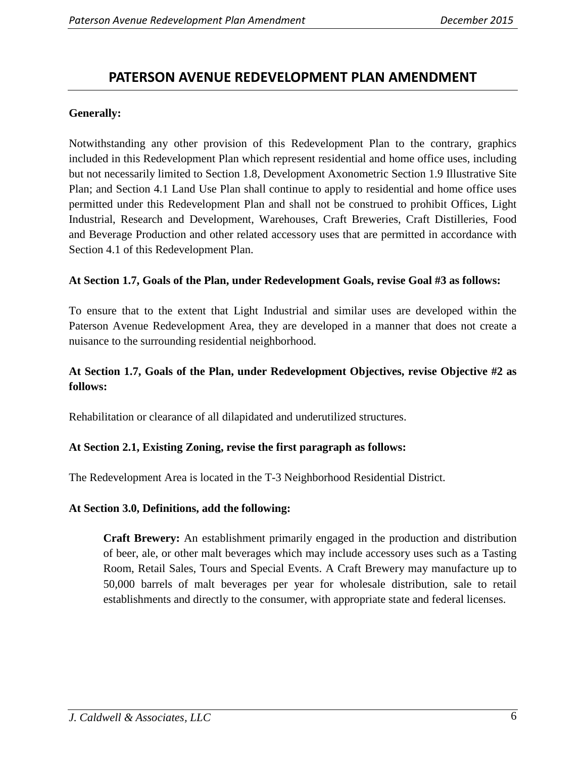# <span id="page-5-0"></span>**PATERSON AVENUE REDEVELOPMENT PLAN AMENDMENT**

#### **Generally:**

Notwithstanding any other provision of this Redevelopment Plan to the contrary, graphics included in this Redevelopment Plan which represent residential and home office uses, including but not necessarily limited to Section 1.8, Development Axonometric Section 1.9 Illustrative Site Plan; and Section 4.1 Land Use Plan shall continue to apply to residential and home office uses permitted under this Redevelopment Plan and shall not be construed to prohibit Offices, Light Industrial, Research and Development, Warehouses, Craft Breweries, Craft Distilleries, Food and Beverage Production and other related accessory uses that are permitted in accordance with Section 4.1 of this Redevelopment Plan.

#### **At Section 1.7, Goals of the Plan, under Redevelopment Goals, revise Goal #3 as follows:**

To ensure that to the extent that Light Industrial and similar uses are developed within the Paterson Avenue Redevelopment Area, they are developed in a manner that does not create a nuisance to the surrounding residential neighborhood.

### **At Section 1.7, Goals of the Plan, under Redevelopment Objectives, revise Objective #2 as follows:**

Rehabilitation or clearance of all dilapidated and underutilized structures.

#### **At Section 2.1, Existing Zoning, revise the first paragraph as follows:**

The Redevelopment Area is located in the T-3 Neighborhood Residential District.

#### **At Section 3.0, Definitions, add the following:**

**Craft Brewery:** An establishment primarily engaged in the production and distribution of beer, ale, or other malt beverages which may include accessory uses such as a Tasting Room, Retail Sales, Tours and Special Events. A Craft Brewery may manufacture up to 50,000 barrels of malt beverages per year for wholesale distribution, sale to retail establishments and directly to the consumer, with appropriate state and federal licenses.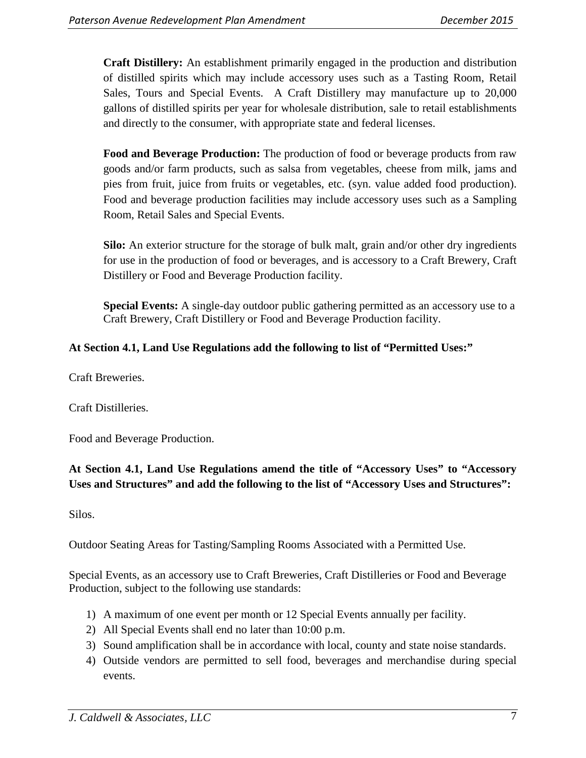**Craft Distillery:** An establishment primarily engaged in the production and distribution of distilled spirits which may include accessory uses such as a Tasting Room, Retail Sales, Tours and Special Events. A Craft Distillery may manufacture up to 20,000 gallons of distilled spirits per year for wholesale distribution, sale to retail establishments and directly to the consumer, with appropriate state and federal licenses.

**Food and Beverage Production:** The production of food or beverage products from raw goods and/or farm products, such as salsa from vegetables, cheese from milk, jams and pies from fruit, juice from fruits or vegetables, etc. (syn. value added food production). Food and beverage production facilities may include accessory uses such as a Sampling Room, Retail Sales and Special Events.

**Silo:** An exterior structure for the storage of bulk malt, grain and/or other dry ingredients for use in the production of food or beverages, and is accessory to a Craft Brewery, Craft Distillery or Food and Beverage Production facility.

**Special Events:** A single-day outdoor public gathering permitted as an accessory use to a Craft Brewery, Craft Distillery or Food and Beverage Production facility.

# **At Section 4.1, Land Use Regulations add the following to list of "Permitted Uses:"**

Craft Breweries.

Craft Distilleries.

Food and Beverage Production.

# **At Section 4.1, Land Use Regulations amend the title of "Accessory Uses" to "Accessory Uses and Structures" and add the following to the list of "Accessory Uses and Structures":**

Silos.

Outdoor Seating Areas for Tasting/Sampling Rooms Associated with a Permitted Use.

Special Events, as an accessory use to Craft Breweries, Craft Distilleries or Food and Beverage Production, subject to the following use standards:

- 1) A maximum of one event per month or 12 Special Events annually per facility.
- 2) All Special Events shall end no later than 10:00 p.m.
- 3) Sound amplification shall be in accordance with local, county and state noise standards.
- 4) Outside vendors are permitted to sell food, beverages and merchandise during special events.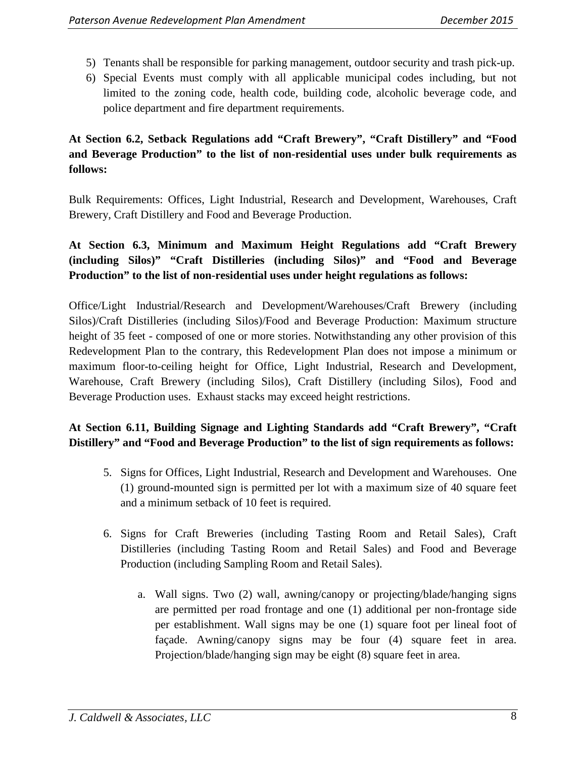- 5) Tenants shall be responsible for parking management, outdoor security and trash pick-up.
- 6) Special Events must comply with all applicable municipal codes including, but not limited to the zoning code, health code, building code, alcoholic beverage code, and police department and fire department requirements.

# **At Section 6.2, Setback Regulations add "Craft Brewery", "Craft Distillery" and "Food and Beverage Production" to the list of non-residential uses under bulk requirements as follows:**

Bulk Requirements: Offices, Light Industrial, Research and Development, Warehouses, Craft Brewery, Craft Distillery and Food and Beverage Production.

# **At Section 6.3, Minimum and Maximum Height Regulations add "Craft Brewery (including Silos)" "Craft Distilleries (including Silos)" and "Food and Beverage Production" to the list of non-residential uses under height regulations as follows:**

Office/Light Industrial/Research and Development/Warehouses/Craft Brewery (including Silos)/Craft Distilleries (including Silos)/Food and Beverage Production: Maximum structure height of 35 feet - composed of one or more stories. Notwithstanding any other provision of this Redevelopment Plan to the contrary, this Redevelopment Plan does not impose a minimum or maximum floor-to-ceiling height for Office, Light Industrial, Research and Development, Warehouse, Craft Brewery (including Silos), Craft Distillery (including Silos), Food and Beverage Production uses. Exhaust stacks may exceed height restrictions.

# **At Section 6.11, Building Signage and Lighting Standards add "Craft Brewery", "Craft Distillery" and "Food and Beverage Production" to the list of sign requirements as follows:**

- 5. Signs for Offices, Light Industrial, Research and Development and Warehouses. One (1) ground-mounted sign is permitted per lot with a maximum size of 40 square feet and a minimum setback of 10 feet is required.
- 6. Signs for Craft Breweries (including Tasting Room and Retail Sales), Craft Distilleries (including Tasting Room and Retail Sales) and Food and Beverage Production (including Sampling Room and Retail Sales).
	- a. Wall signs. Two (2) wall, awning/canopy or projecting/blade/hanging signs are permitted per road frontage and one (1) additional per non-frontage side per establishment. Wall signs may be one (1) square foot per lineal foot of façade. Awning/canopy signs may be four (4) square feet in area. Projection/blade/hanging sign may be eight (8) square feet in area.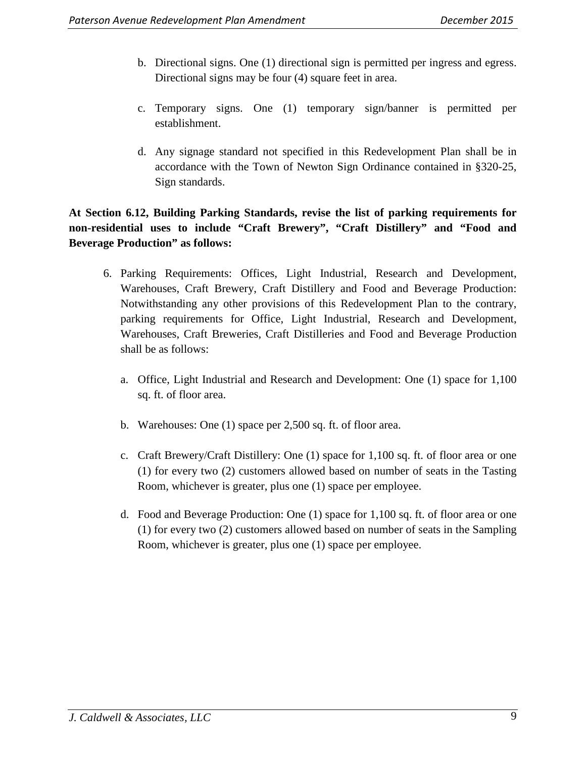- b. Directional signs. One (1) directional sign is permitted per ingress and egress. Directional signs may be four (4) square feet in area.
- c. Temporary signs. One (1) temporary sign/banner is permitted per establishment.
- d. Any signage standard not specified in this Redevelopment Plan shall be in accordance with the Town of Newton Sign Ordinance contained in §320-25, [Sign standards.](http://ecode360.com/14049688#14049688)

# **At Section 6.12, Building Parking Standards, revise the list of parking requirements for non-residential uses to include "Craft Brewery", "Craft Distillery" and "Food and Beverage Production" as follows:**

- 6. Parking Requirements: Offices, Light Industrial, Research and Development, Warehouses, Craft Brewery, Craft Distillery and Food and Beverage Production: Notwithstanding any other provisions of this Redevelopment Plan to the contrary, parking requirements for Office, Light Industrial, Research and Development, Warehouses, Craft Breweries, Craft Distilleries and Food and Beverage Production shall be as follows:
	- a. Office, Light Industrial and Research and Development: One (1) space for 1,100 sq. ft. of floor area.
	- b. Warehouses: One (1) space per 2,500 sq. ft. of floor area.
	- c. Craft Brewery/Craft Distillery: One (1) space for 1,100 sq. ft. of floor area or one (1) for every two (2) customers allowed based on number of seats in the Tasting Room, whichever is greater, plus one (1) space per employee.
	- d. Food and Beverage Production: One (1) space for 1,100 sq. ft. of floor area or one (1) for every two (2) customers allowed based on number of seats in the Sampling Room, whichever is greater, plus one (1) space per employee.